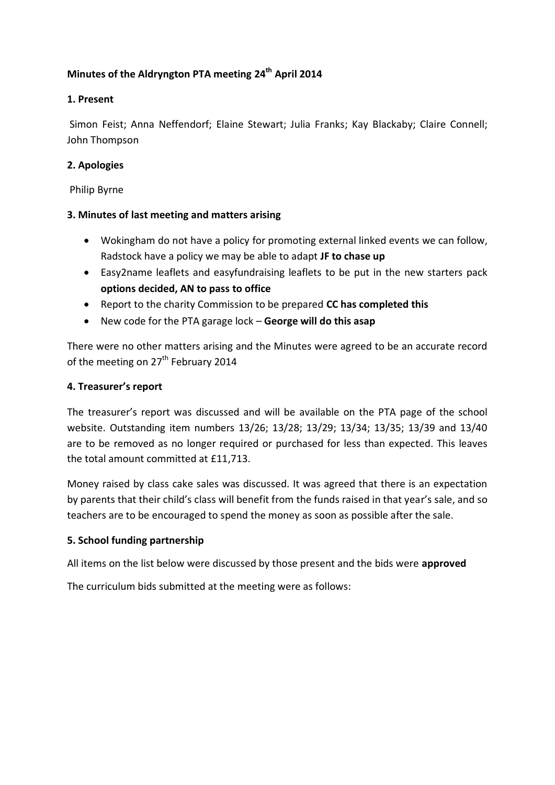# **Minutes of the Aldryngton PTA meeting 24th April 2014**

## **1. Present**

Simon Feist; Anna Neffendorf; Elaine Stewart; Julia Franks; Kay Blackaby; Claire Connell; John Thompson

## **2. Apologies**

Philip Byrne

#### **3. Minutes of last meeting and matters arising**

- Wokingham do not have a policy for promoting external linked events we can follow, Radstock have a policy we may be able to adapt **JF to chase up**
- Easy2name leaflets and easyfundraising leaflets to be put in the new starters pack **options decided, AN to pass to office**
- Report to the charity Commission to be prepared **CC has completed this**
- New code for the PTA garage lock **George will do this asap**

There were no other matters arising and the Minutes were agreed to be an accurate record of the meeting on 27<sup>th</sup> February 2014

#### **4. Treasurer's report**

The treasurer's report was discussed and will be available on the PTA page of the school website. Outstanding item numbers 13/26; 13/28; 13/29; 13/34; 13/35; 13/39 and 13/40 are to be removed as no longer required or purchased for less than expected. This leaves the total amount committed at £11,713.

Money raised by class cake sales was discussed. It was agreed that there is an expectation by parents that their child's class will benefit from the funds raised in that year's sale, and so teachers are to be encouraged to spend the money as soon as possible after the sale.

#### **5. School funding partnership**

All items on the list below were discussed by those present and the bids were **approved**

The curriculum bids submitted at the meeting were as follows: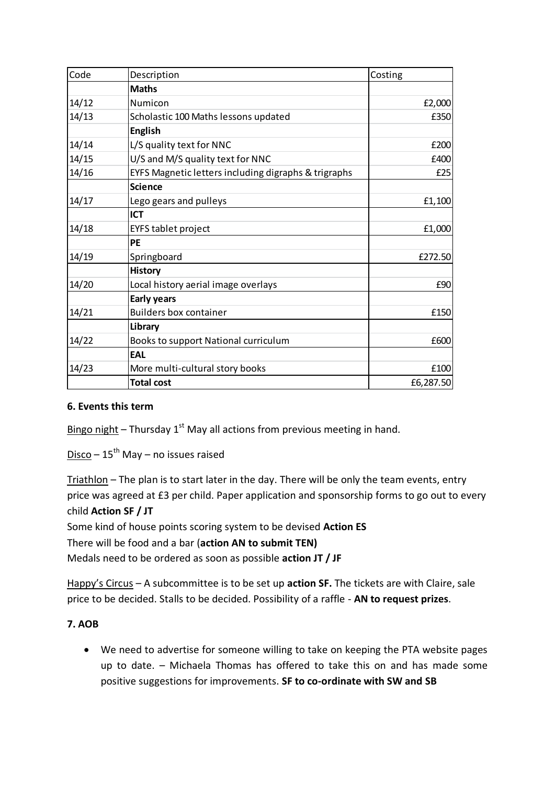| Code  | Description                                          | Costing   |
|-------|------------------------------------------------------|-----------|
|       | <b>Maths</b>                                         |           |
| 14/12 | Numicon                                              | £2,000    |
| 14/13 | Scholastic 100 Maths lessons updated                 | £350      |
|       | <b>English</b>                                       |           |
| 14/14 | L/S quality text for NNC                             | £200      |
| 14/15 | U/S and M/S quality text for NNC                     | £400      |
| 14/16 | EYFS Magnetic letters including digraphs & trigraphs | £25       |
|       | <b>Science</b>                                       |           |
| 14/17 | Lego gears and pulleys                               | E1,100    |
|       | <b>ICT</b>                                           |           |
| 14/18 | <b>EYFS tablet project</b>                           | £1,000    |
|       | PE                                                   |           |
| 14/19 | Springboard                                          | £272.50   |
|       | <b>History</b>                                       |           |
| 14/20 | Local history aerial image overlays                  | £90       |
|       | <b>Early years</b>                                   |           |
| 14/21 | <b>Builders box container</b>                        | £150      |
|       | Library                                              |           |
| 14/22 | Books to support National curriculum                 | £600      |
|       | EAL                                                  |           |
| 14/23 | More multi-cultural story books                      | £100      |
|       | <b>Total cost</b>                                    | £6,287.50 |

#### **6. Events this term**

Bingo night – Thursday  $1<sup>st</sup>$  May all actions from previous meeting in hand.

Disco –  $15^{th}$  May – no issues raised

Triathlon – The plan is to start later in the day. There will be only the team events, entry price was agreed at £3 per child. Paper application and sponsorship forms to go out to every child **Action SF / JT** 

Some kind of house points scoring system to be devised **Action ES**

There will be food and a bar (**action AN to submit TEN)**

Medals need to be ordered as soon as possible **action JT / JF**

Happy's Circus – A subcommittee is to be set up **action SF.** The tickets are with Claire, sale price to be decided. Stalls to be decided. Possibility of a raffle - **AN to request prizes**.

# **7. AOB**

 We need to advertise for someone willing to take on keeping the PTA website pages up to date. – Michaela Thomas has offered to take this on and has made some positive suggestions for improvements. **SF to co-ordinate with SW and SB**